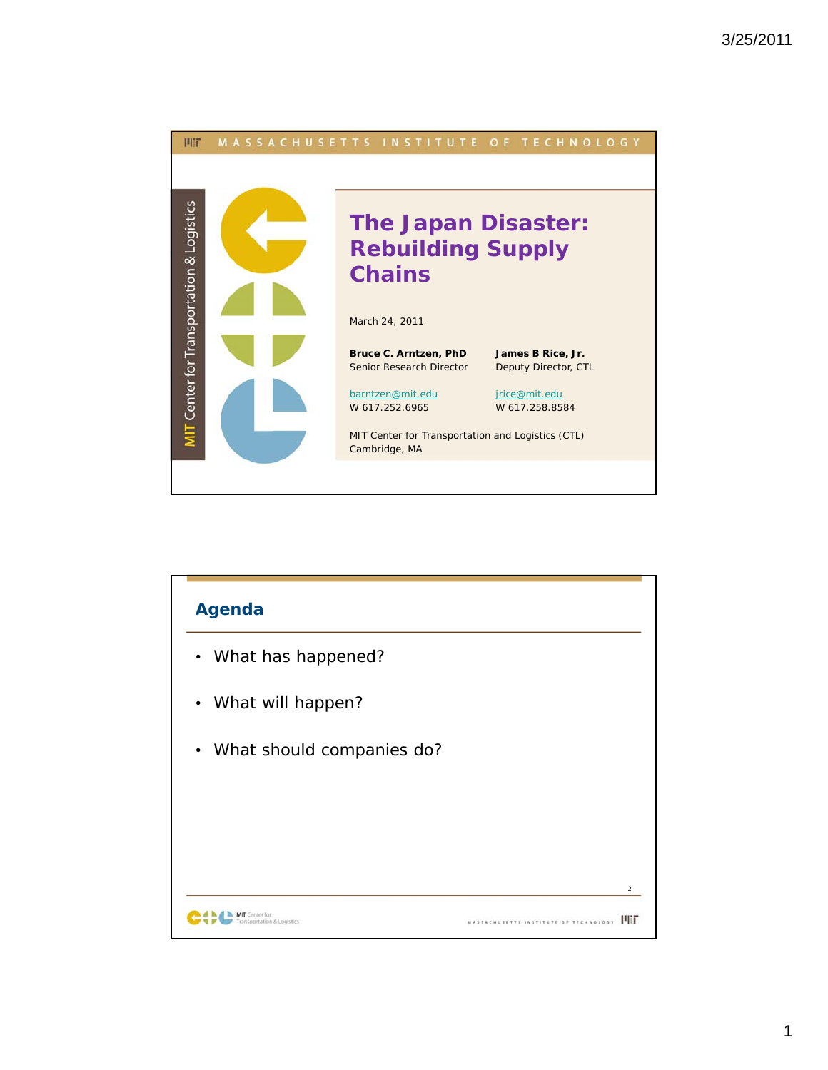

| <b>Agenda</b>                          |                                     |
|----------------------------------------|-------------------------------------|
| • What has happened?                   |                                     |
| What will happen?<br>$\bullet$         |                                     |
| • What should companies do?            |                                     |
|                                        |                                     |
|                                        |                                     |
|                                        | $\overline{2}$                      |
| Center for<br>ansportation & Logistics | шт<br>SETTS INSTITUTE OF TECHNOLOGY |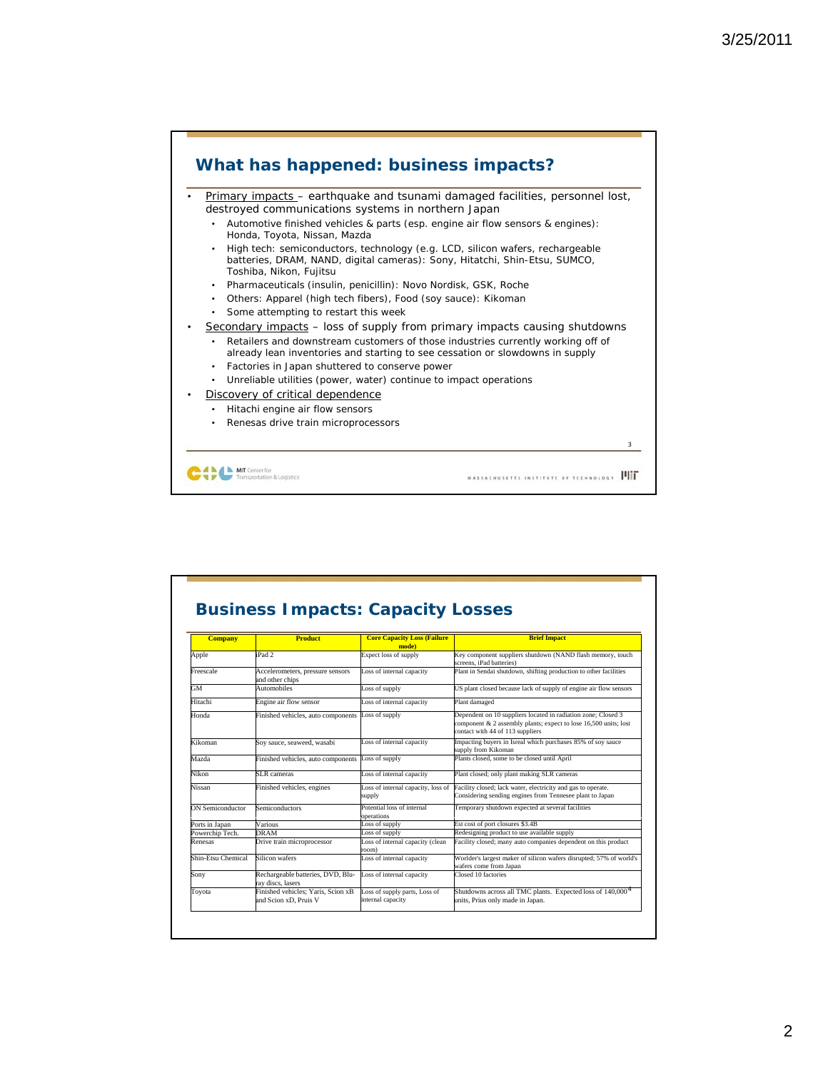

|                    |                                                             |                                                    | <b>Brief Impact</b>                                                                                                                                                   |
|--------------------|-------------------------------------------------------------|----------------------------------------------------|-----------------------------------------------------------------------------------------------------------------------------------------------------------------------|
| <b>Company</b>     | <b>Product</b>                                              | <b>Core Capacity Loss (Failure</b><br>mode)        |                                                                                                                                                                       |
| Apple              | $i$ Pad 2.                                                  | <b>Expect loss of supply</b>                       | Key component suppliers shutdown (NAND flash memory, touch<br>screens, iPad batteries)                                                                                |
| Freescale          | Accelerometers, pressure sensors<br>and other chips         | Loss of internal capacity                          | Plant in Sendai shutdown, shifting production to other facilities                                                                                                     |
| GM                 | Automobiles                                                 | Loss of supply                                     | US plant closed because lack of supply of engine air flow sensors                                                                                                     |
| Hitachi            | Engine air flow sensor                                      | Loss of internal capacity                          | Plant damaged                                                                                                                                                         |
| Honda              | Finished vehicles, auto components                          | Loss of supply                                     | Dependent on 10 suppliers located in radiation zone; Closed 3<br>component & 2 assembly plants; expect to lose 16,500 units; lost<br>contact with 44 of 113 suppliers |
| Kikoman            | Soy sauce, seaweed, wasabi                                  | Loss of internal capacity                          | Impacting buyers in Isreal which purchases 85% of soy sauce<br>supply from Kikoman                                                                                    |
| Mazda              | Finished vehicles, auto components                          | Loss of supply                                     | Plants closed, some to be closed until April                                                                                                                          |
| Nikon              | <b>SLR</b> cameras                                          | Loss of internal capacity                          | Plant closed; only plant making SLR cameras                                                                                                                           |
| Nissan             | Finished vehicles, engines                                  | Loss of internal capacity, loss of<br>supply       | Facility closed: lack water, electricity and gas to operate.<br>Considering sending engines from Tennesee plant to Japan                                              |
| ON Semiconductor   | <b>Semiconductors</b>                                       | Potential loss of internal<br>operations           | Temporary shutdown expected at several facilities                                                                                                                     |
| Ports in Japan     | Various                                                     | Loss of supply                                     | Est cost of port closures \$3.4B                                                                                                                                      |
| Powerchip Tech.    | DRAM                                                        | Loss of supply                                     | Redesigning product to use available supply                                                                                                                           |
| Renesas            | Drive train microprocessor                                  | Loss of internal capacity (clean<br>'oom)          | Facility closed; many auto companies dependent on this product                                                                                                        |
| Shin-Etsu Chemical | Silicon wafers                                              | Loss of internal capacity                          | Worlder's largest maker of silicon wafers disrupted; 57% of world's<br>wafers come from Japan                                                                         |
| Sony               | Rechargeable batteries, DVD, Blu-<br>rav discs, lasers      | Loss of internal capacity                          | Closed 10 factories                                                                                                                                                   |
| Toyota             | Finished vehicles: Yaris, Scion xB<br>and Scion xD, Pruis V | Loss of supply parts, Loss of<br>internal capacity | Shutdowns across all TMC plants. Expected loss of 140,000 <sup>4</sup><br>units, Prius only made in Japan.                                                            |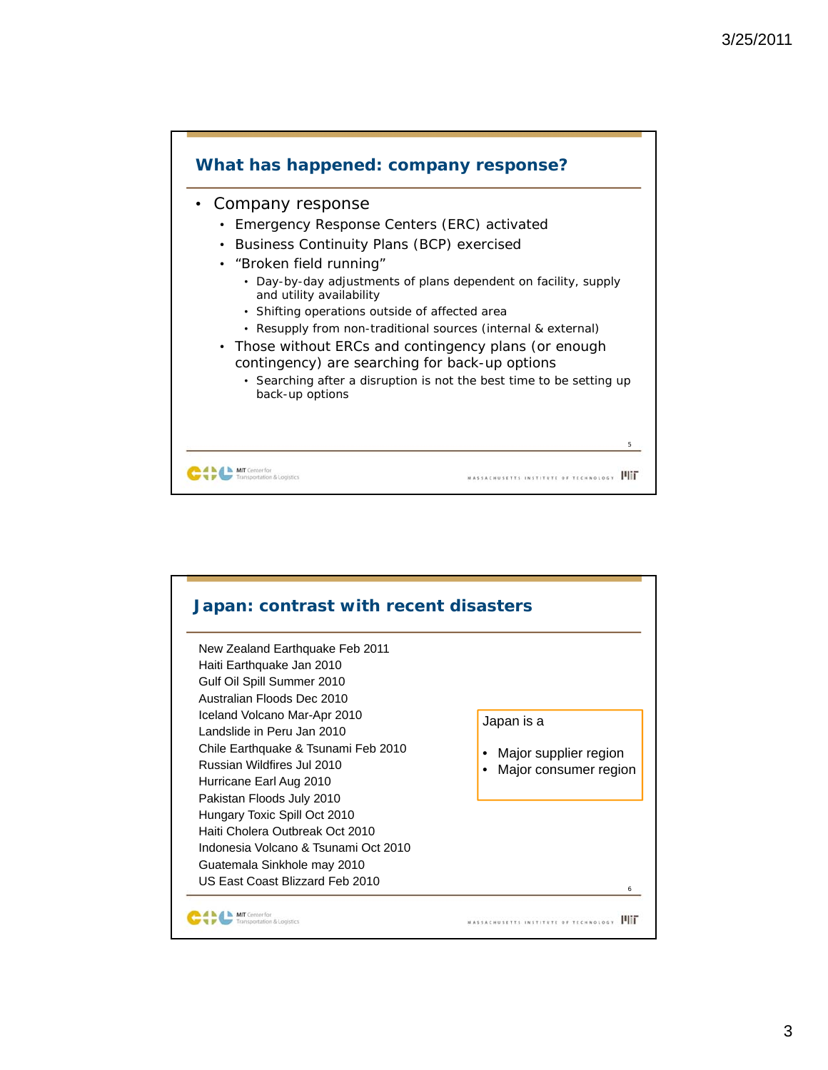

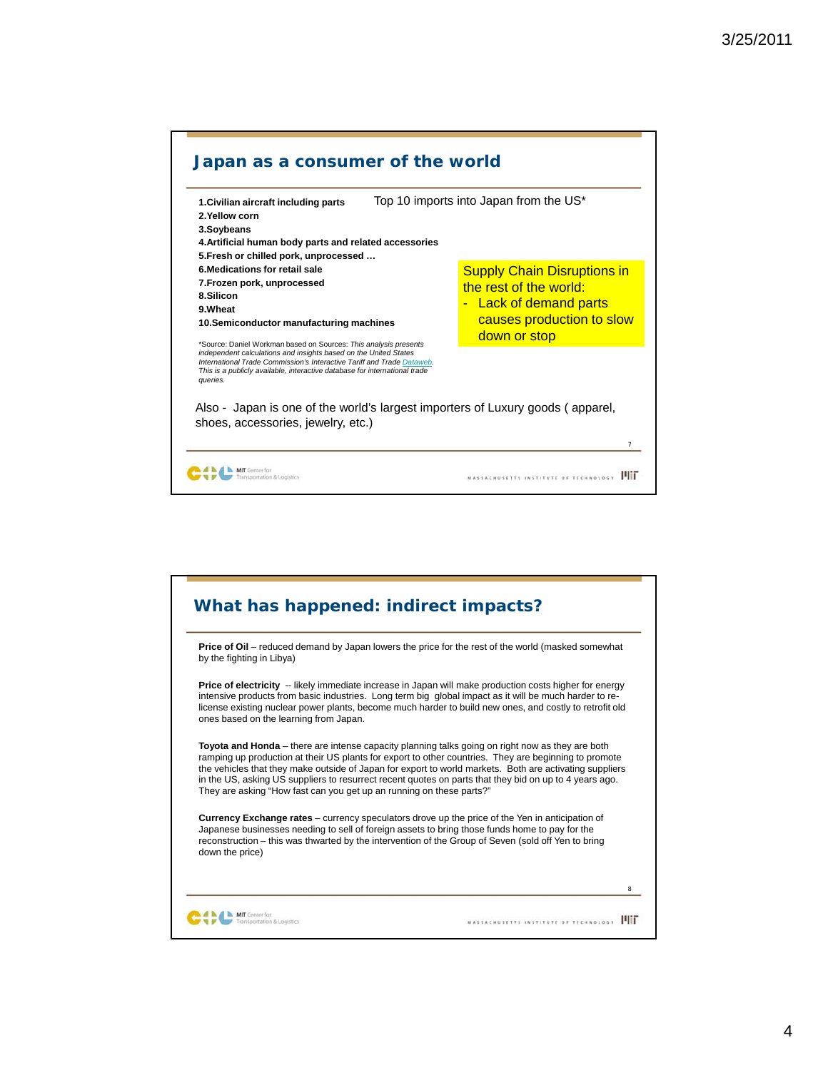

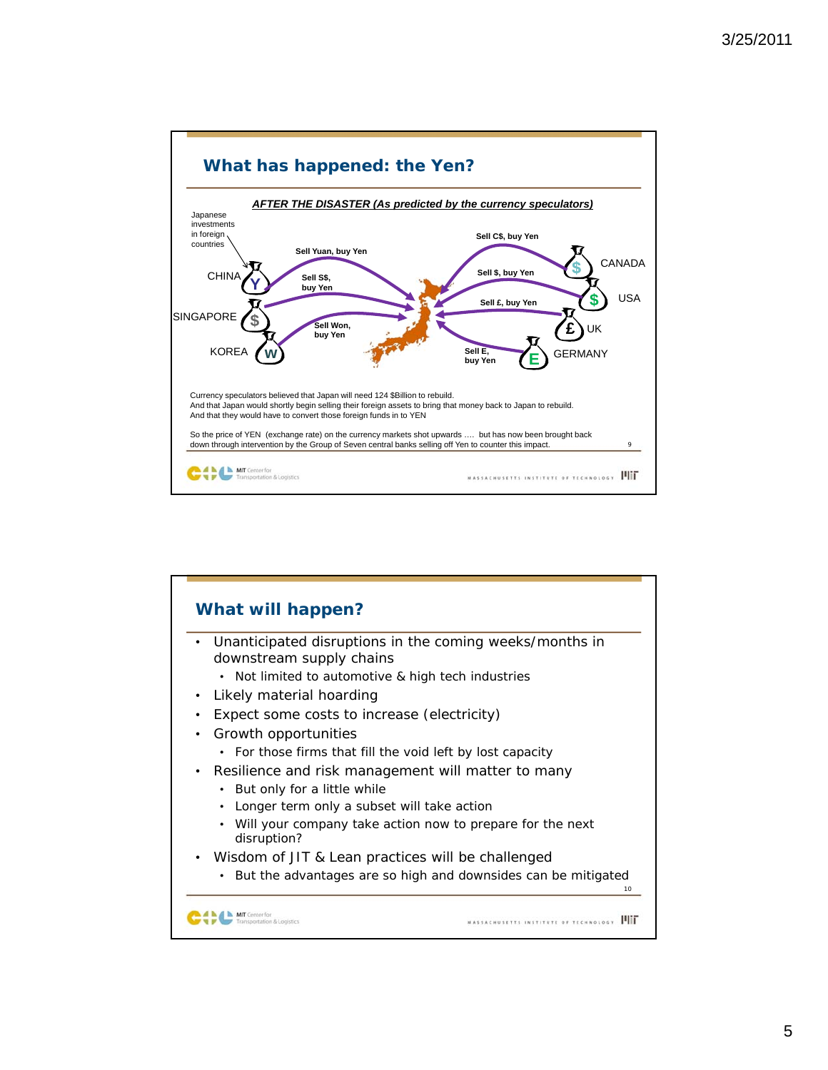

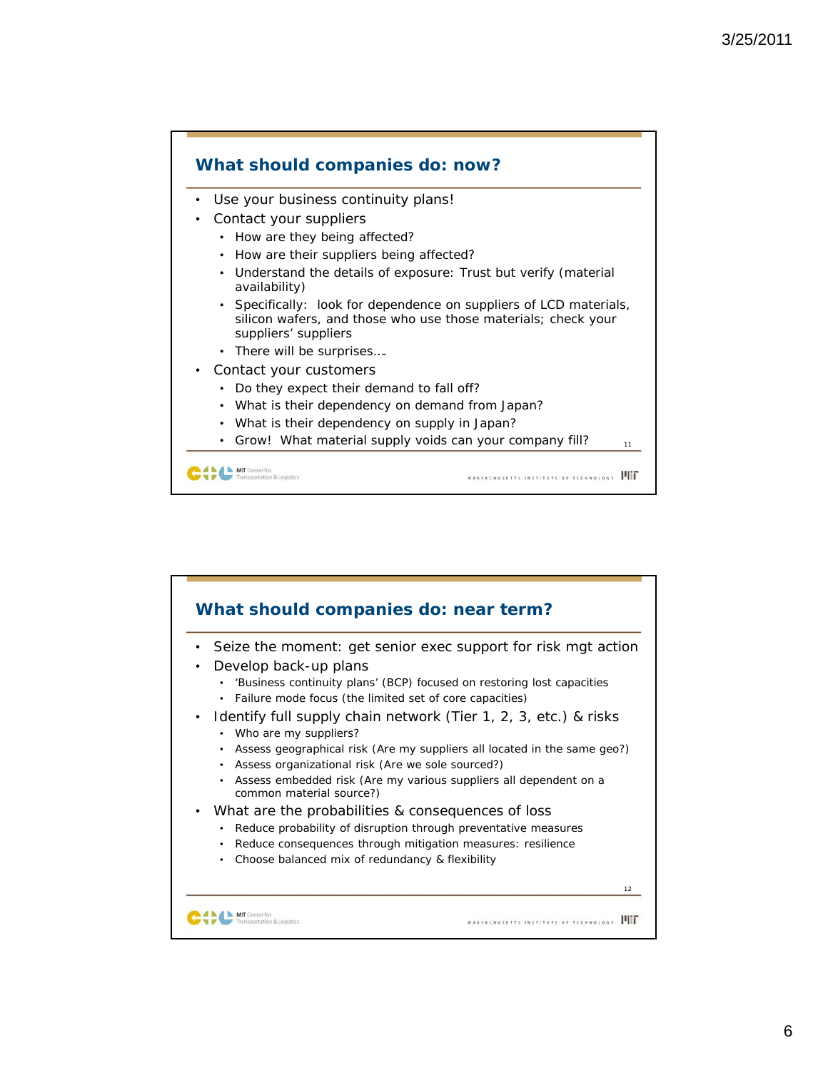

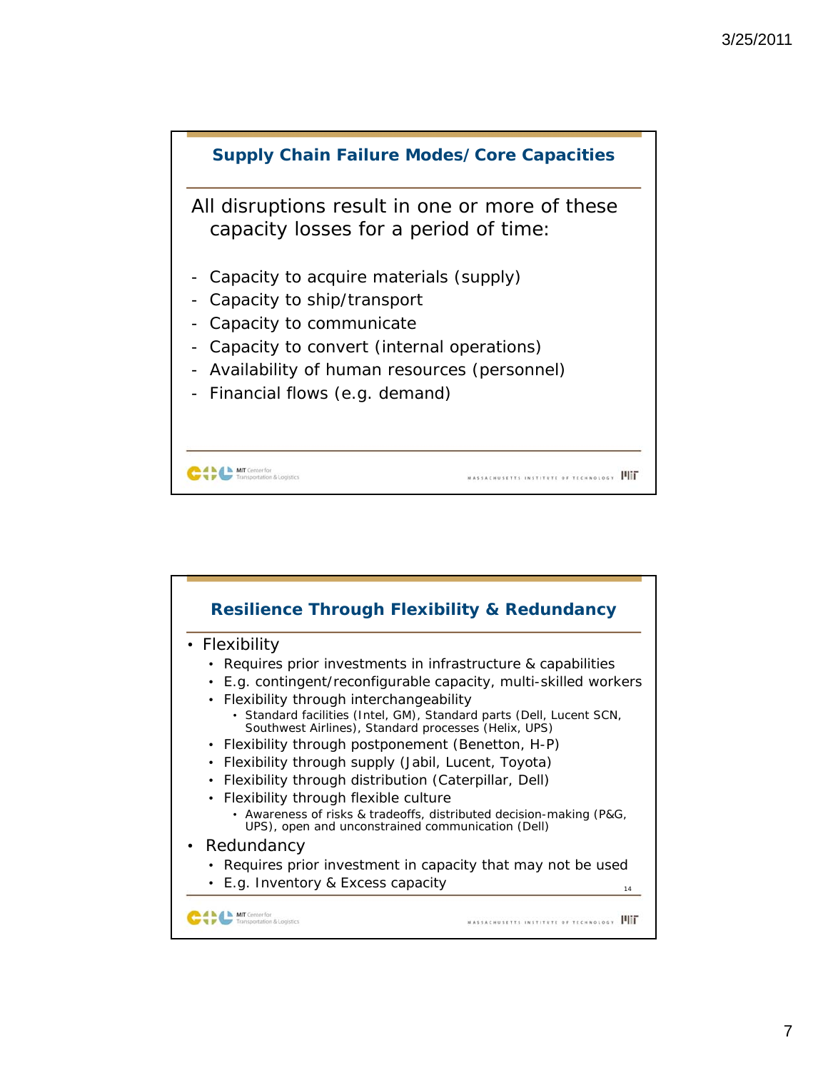

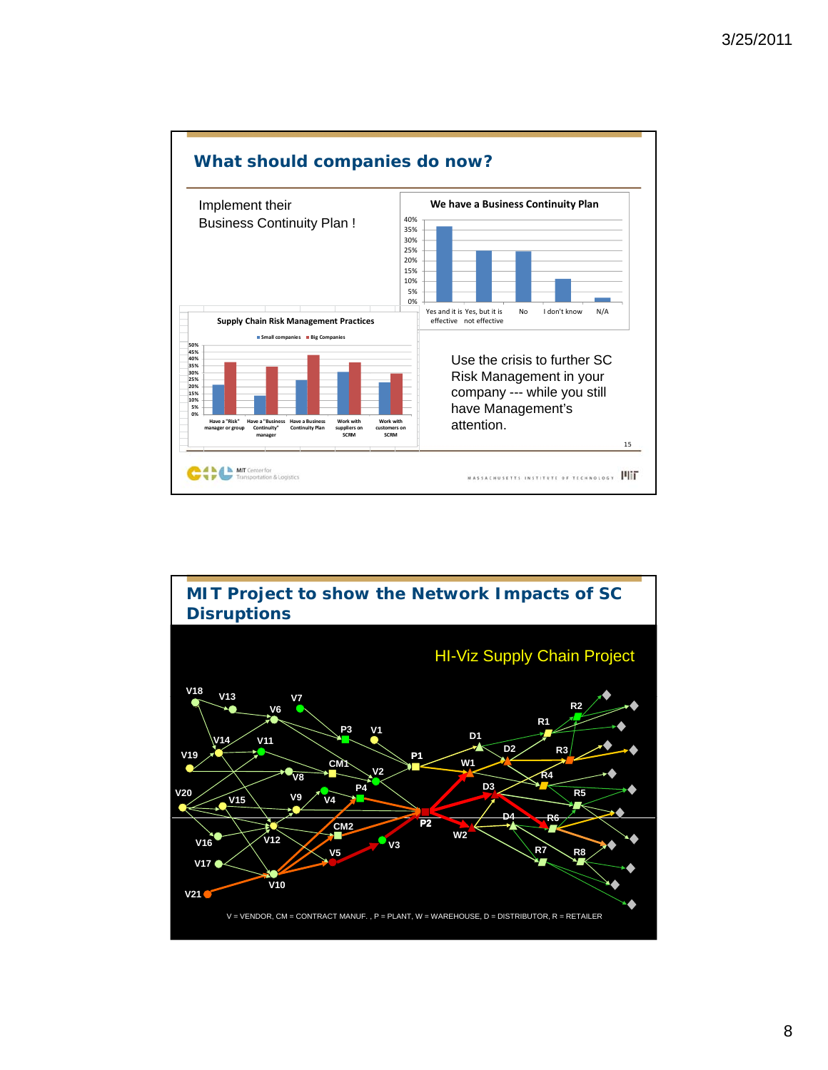